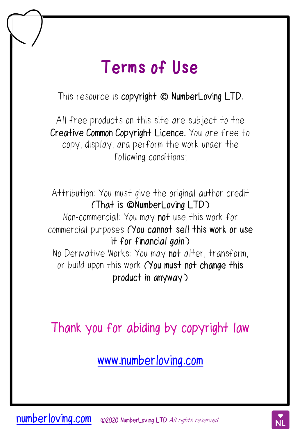## **Terms of Use**

This resource is copyright  $\odot$  **NumberLoving LTD.** 

All free products on this site are subject to the Creative Common Copyright Licence. You are free to copy, display, and perform the work under the following conditions;

Attribution: You must give the original author credit (That is *<u>ONumberLoving</u>* LTD) Non-commercial: You may not use this work for commercial purposes (You cannot sell this work or use it for financial gain) No Derivative Works: You may not alter, transform, or build upon this work (You must not change this product in anyway)

Thank you for abiding by copyright law

[www.numberloving.com](http://www.numberloving.com/)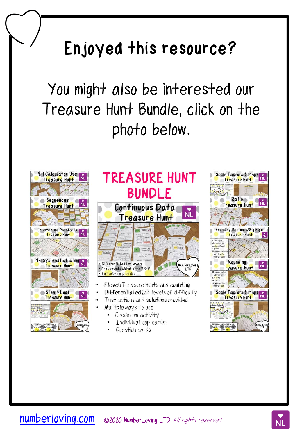## **Enjoyed this resource?**

You might also be interested our Treasure Hunt Bundle, click on the photo below.





- Eleven Treasure Hunts and counting
- Differentiated 2/3 levels of difficulty
- Instructions and solutions provided
- Multiple ways to use
	- $\bullet$ Classroom activity
	- Individual loop cards
	- Question cards

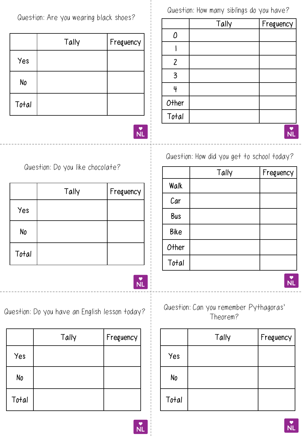Question: Are you wearing black shoes?

|       | Tally | Frequency |
|-------|-------|-----------|
| Yes   |       |           |
| No    |       |           |
| Total |       |           |

Question: How many siblings do you have?

|                    | Tally | Frequency |
|--------------------|-------|-----------|
| 0                  |       |           |
|                    |       |           |
| $\mathbf{2}$       |       |           |
| $\overline{3}$     |       |           |
| 4                  |       |           |
| Other              |       |           |
| $\overline{Total}$ |       |           |
|                    |       |           |

Question: How did you get to school today?

|             | Tally | Frequency |
|-------------|-------|-----------|
| Walk        |       |           |
| Car         |       |           |
| <b>Bus</b>  |       |           |
| <b>Bike</b> |       |           |
| O+her       |       |           |
| Total       |       |           |



 $\overset{\bullet}{NL}$ 

Question: Do you like chocolate?

|       | Tally | Frequency |
|-------|-------|-----------|
| Yes   |       |           |
| No    |       |           |
| Total |       |           |



Question: Do you have an English lesson today?

|       | Tally | Frequency |
|-------|-------|-----------|
| Yes   |       |           |
| No    |       |           |
| Total |       |           |

Question: Can you remember Pythagoras' Theorem?

|       | Tally | Frequency |
|-------|-------|-----------|
| Yes   |       |           |
| No    |       |           |
| Total |       |           |





Νl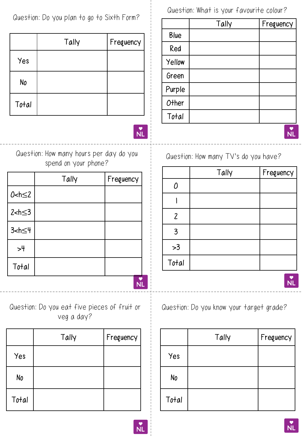Question: Do you plan to go to Sixth Form?

|       | Tally | Frequency |
|-------|-------|-----------|
| Yes   |       |           |
| No    |       |           |
| Total |       |           |



Question: How many hours per day do you spend on your phone?

|                            | Tally | Frequency |  |
|----------------------------|-------|-----------|--|
| $0 < h \leq 2$             |       |           |  |
| $2$ <h<math>\leq3</h<math> |       |           |  |
| $3$ <h<math>\leq4</h<math> |       |           |  |
| >4                         |       |           |  |
| Total                      |       |           |  |
|                            |       |           |  |

Question: Do you eat five pieces of fruit or veg a day?

|       | Tally | Frequency |
|-------|-------|-----------|
| Yes   |       |           |
| No    |       |           |
| Total |       |           |

Question: What is your favourite colour?

|             | Tally | Frequency |
|-------------|-------|-----------|
| <b>Blue</b> |       |           |
| Red         |       |           |
| Yellow      |       |           |
| Green       |       |           |
| Purple      |       |           |
| Other       |       |           |
| Total       |       |           |
|             |       |           |

Question: How many TV's do you have?

|                | Tally | Frequency |
|----------------|-------|-----------|
| 0              |       |           |
|                |       |           |
| $\overline{2}$ |       |           |
| $\overline{3}$ |       |           |
| >3             |       |           |
| Total          |       |           |

Question: Do you know your target grade?

|       | Tally | Frequency |
|-------|-------|-----------|
| Yes   |       |           |
| No    |       |           |
| Total |       |           |



**NL**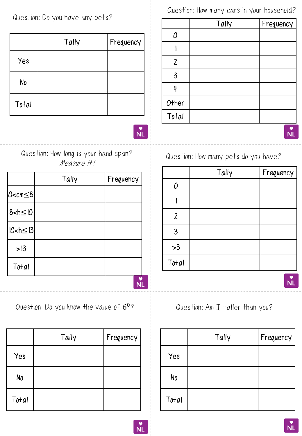Question: Do you have any pets?

|       | Tally | Frequency |
|-------|-------|-----------|
| Yes   |       |           |
| No    |       |           |
| Total |       |           |

 $\overset{\bullet}{NL}$ 

Question: How long is your hand span? Measure it!

|                                              | Tally | Frequency |
|----------------------------------------------|-------|-----------|
| O <cm≤8 < td=""><td></td><td></td></cm≤8 <>  |       |           |
| $8$ <h <math="">\leq 10</h>                  |       |           |
| 10 <h≤13 < td=""><td></td><td></td></h≤13 <> |       |           |
| > 13                                         |       |           |
| Total                                        |       |           |
|                                              |       |           |

Question: Do you know the value of  $6^0$ ?

|       | Tally | Frequency |
|-------|-------|-----------|
| Yes   |       |           |
| No    |       |           |
| Total |       |           |

Question: How many cars in your household?

|               | Tally | Frequency |
|---------------|-------|-----------|
| $\theta$      |       |           |
|               |       |           |
| $\mathbf{2}$  |       |           |
| 3             |       |           |
| 4             |       |           |
|               |       |           |
| $OtherTo tal$ |       |           |
|               |       |           |

Question: How many pets do you have?

|                          | Tally | Frequency |
|--------------------------|-------|-----------|
| 0                        |       |           |
|                          |       |           |
| $\overline{\mathcal{L}}$ |       |           |
| $\overline{3}$           |       |           |
| >3                       |       |           |
| Total                    |       |           |

Question: Am  $I$  taller than you?

|       | Tally | Frequency |
|-------|-------|-----------|
| Yes   |       |           |
| No    |       |           |
| Total |       |           |



**NL**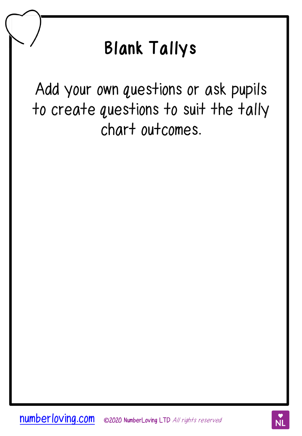## **Blank Tallys**

Add your own questions or ask pupils to create questions to suit the tally chart outcomes.

**[numberloving.com](http://www.numberloving.com/)** ©2020 NumberLoving LTD All rights reserved